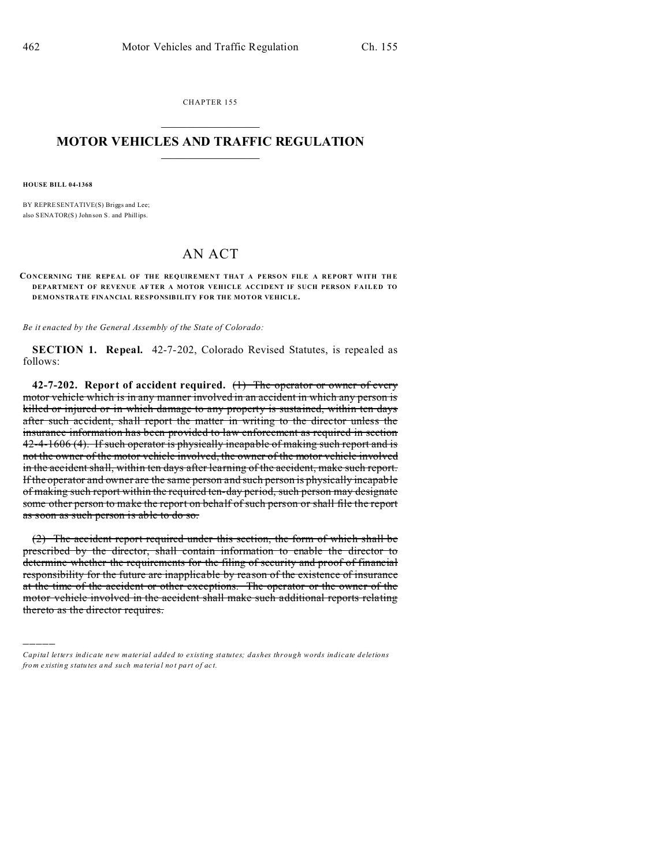CHAPTER 155  $\overline{\phantom{a}}$  , where  $\overline{\phantom{a}}$ 

## **MOTOR VEHICLES AND TRAFFIC REGULATION**  $\frac{1}{2}$  ,  $\frac{1}{2}$  ,  $\frac{1}{2}$  ,  $\frac{1}{2}$  ,  $\frac{1}{2}$  ,  $\frac{1}{2}$  ,  $\frac{1}{2}$

**HOUSE BILL 04-1368**

)))))

BY REPRESENTATIVE(S) Briggs and Lee; also SENATOR(S) John son S. and Phillips.

## AN ACT

## **CONCERNING THE REPEAL OF THE REQUIREMENT THAT A PERSON FILE A REPORT WITH THE DEPARTMENT OF REVENUE AF TER A MOTOR VEHICLE ACCIDENT IF SUCH PERSON F AILED TO DEMONSTRATE FINANCIAL RESPONSIBILITY FOR THE MOTOR VEHICLE.**

*Be it enacted by the General Assembly of the State of Colorado:*

**SECTION 1. Repeal.** 42-7-202, Colorado Revised Statutes, is repealed as follows:

**42-7-202. Report of accident required.** (1) The operator or owner of every motor vehicle which is in any manner involved in an accident in which any person is killed or injured or in which damage to any property is sustained, within ten days after such accident, shall report the matter in writing to the director unless the insurance information has been provided to law enforcement as required in section 42-4-1606 (4). If such operator is physically incapable of making such report and is not the owner of the motor vehicle involved, the owner of the motor vehicle involved in the accident shall, within ten days after learning of the accident, make such report. If the operator and owner are the same person and such person is physically incapable of making such report within the required ten-day period, such person may designate some other person to make the report on behalf of such person or shall file the report as soon as such person is able to do so.

(2) The accident report required under this section, the form of which shall be prescribed by the director, shall contain information to enable the director to determine whether the requirements for the filing of security and proof of financial responsibility for the future are inapplicable by reason of the existence of insurance at the time of the accident or other exceptions. The operator or the owner of the motor vehicle involved in the accident shall make such additional reports relating thereto as the director requires.

*Capital letters indicate new material added to existing statutes; dashes through words indicate deletions from e xistin g statu tes a nd such ma teria l no t pa rt of ac t.*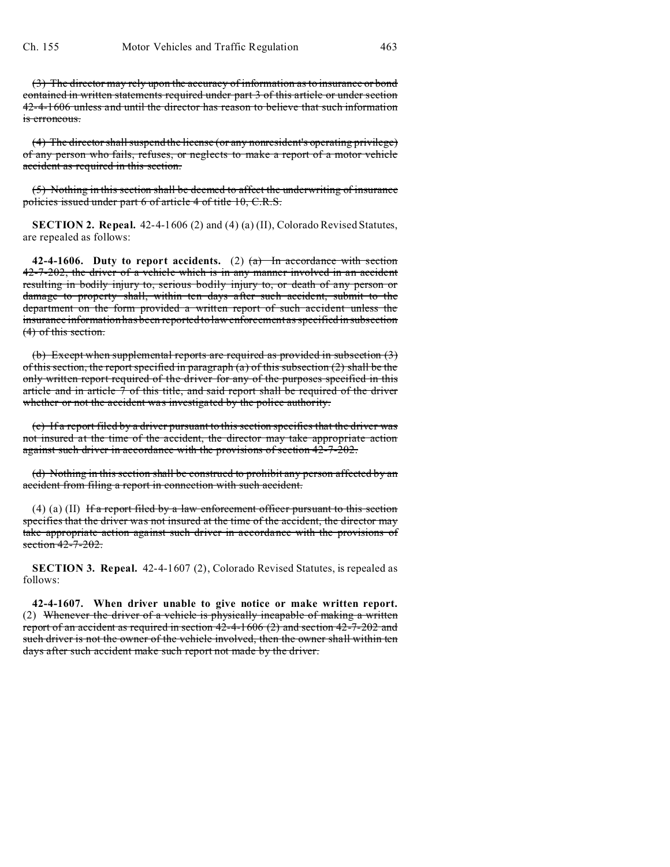(3) The director may rely upon the accuracy of information as to insurance or bond contained in written statements required under part 3 of this article or under section 42-4-1606 unless and until the director has reason to believe that such information is erroneous.

(4) The director shall suspend the license (or any nonresident's operating privilege) of any person who fails, refuses, or neglects to make a report of a motor vehicle accident as required in this section.

(5) Nothing in this section shall be deemed to affect the underwriting of insurance policies issued under part 6 of article 4 of title 10, C.R.S.

**SECTION 2. Repeal.** 42-4-1606 (2) and (4) (a) (II), Colorado Revised Statutes, are repealed as follows:

**42-4-1606.** Duty to report accidents. (2)  $(a)$  In accordance with section 42-7-202, the driver of a vehicle which is in any manner involved in an accident resulting in bodily injury to, serious bodily injury to, or death of any person or damage to property shall, within ten days after such accident, submit to the department on the form provided a written report of such accident unless the insurance information has been reported to law enforcement as specified in subsection (4) of this section.

(b) Except when supplemental reports are required as provided in subsection (3) of this section, the report specified in paragraph  $(a)$  of this subsection  $(2)$  shall be the only written report required of the driver for any of the purposes specified in this article and in article 7 of this title, and said report shall be required of the driver whether or not the accident was investigated by the police authority.

(c) If a report filed by a driver pursuant to this section specifies that the driver was not insured at the time of the accident, the director may take appropriate action against such driver in accordance with the provisions of section 42-7-202.

(d) Nothing in this section shall be construed to prohibit any person affected by an accident from filing a report in connection with such accident.

(4) (a) (II) If a report filed by a law enforcement officer pursuant to this section specifies that the driver was not insured at the time of the accident, the director may take appropriate action against such driver in accordance with the provisions of section  $42 - 7 - 202$ .

**SECTION 3. Repeal.** 42-4-1607 (2), Colorado Revised Statutes, is repealed as follows:

**42-4-1607. When driver unable to give notice or make written report.** (2) Whenever the driver of a vehicle is physically incapable of making a written report of an accident as required in section 42-4-1606 (2) and section 42-7-202 and such driver is not the owner of the vehicle involved, then the owner shall within ten days after such accident make such report not made by the driver.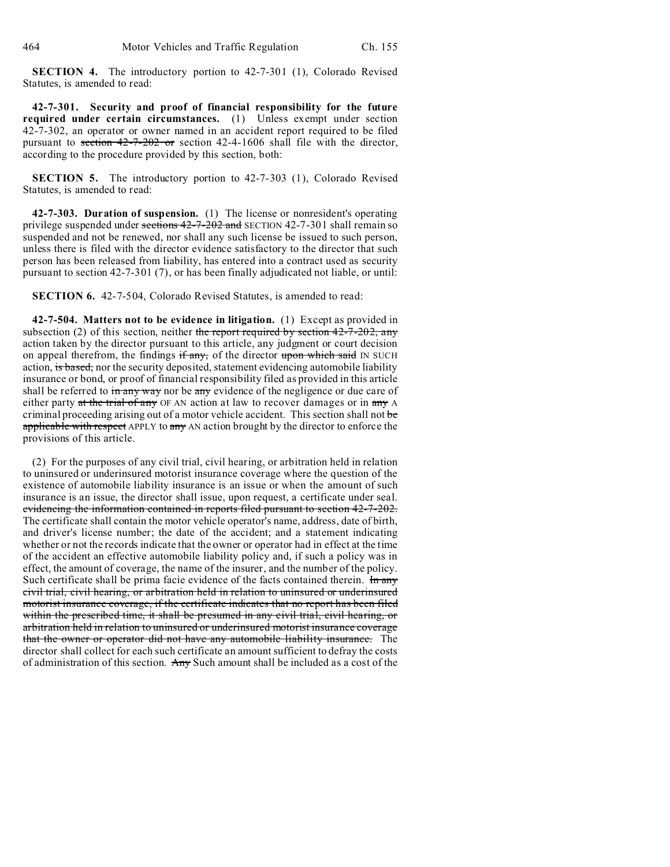**SECTION 4.** The introductory portion to 42-7-301 (1), Colorado Revised Statutes, is amended to read:

**42-7-301. Security and proof of financial responsibility for the future required under certain circumstances.** (1) Unless exempt under section 42-7-302, an operator or owner named in an accident report required to be filed pursuant to section  $42-7-202$  or section 42-4-1606 shall file with the director, according to the procedure provided by this section, both:

**SECTION 5.** The introductory portion to 42-7-303 (1), Colorado Revised Statutes, is amended to read:

**42-7-303. Duration of suspension.** (1) The license or nonresident's operating privilege suspended under sections  $42-7-202$  and SECTION 42-7-301 shall remain so suspended and not be renewed, nor shall any such license be issued to such person, unless there is filed with the director evidence satisfactory to the director that such person has been released from liability, has entered into a contract used as security pursuant to section 42-7-301 (7), or has been finally adjudicated not liable, or until:

**SECTION 6.** 42-7-504, Colorado Revised Statutes, is amended to read:

**42-7-504. Matters not to be evidence in litigation.** (1) Except as provided in subsection (2) of this section, neither the report required by section  $42-7-202$ , any action taken by the director pursuant to this article, any judgment or court decision on appeal therefrom, the findings if any, of the director upon which said IN SUCH action, is based, nor the security deposited, statement evidencing automobile liability insurance or bond, or proof of financial responsibility filed as provided in this article shall be referred to in any way nor be any evidence of the negligence or due care of either party at the trial of any OF AN action at law to recover damages or in any A criminal proceeding arising out of a motor vehicle accident. This section shall not be applicable with respect APPLY to any AN action brought by the director to enforce the provisions of this article.

(2) For the purposes of any civil trial, civil hearing, or arbitration held in relation to uninsured or underinsured motorist insurance coverage where the question of the existence of automobile liability insurance is an issue or when the amount of such insurance is an issue, the director shall issue, upon request, a certificate under seal. evidencing the information contained in reports filed pursuant to section 42-7-202. The certificate shall contain the motor vehicle operator's name, address, date of birth, and driver's license number; the date of the accident; and a statement indicating whether or not the records indicate that the owner or operator had in effect at the time of the accident an effective automobile liability policy and, if such a policy was in effect, the amount of coverage, the name of the insurer, and the number of the policy. Such certificate shall be prima facie evidence of the facts contained therein. In any civil trial, civil hearing, or arbitration held in relation to uninsured or underinsured motorist insurance coverage, if the certificate indicates that no report has been filed within the prescribed time, it shall be presumed in any civil trial, civil hearing, or arbitration held in relation to uninsured or underinsured motorist insurance coverage that the owner or operator did not have any automobile liability insurance. The director shall collect for each such certificate an amount sufficient to defray the costs of administration of this section. Any Such amount shall be included as a cost of the